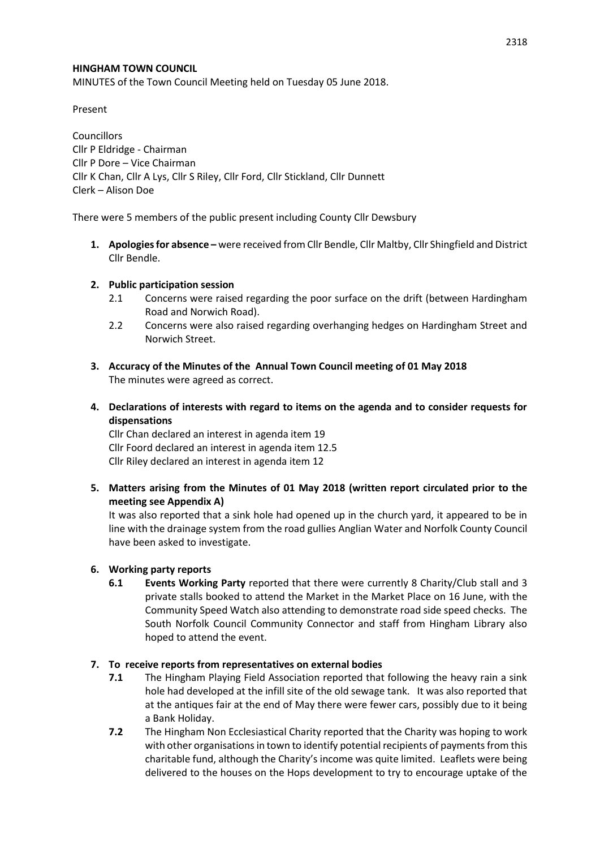### **HINGHAM TOWN COUNCIL**

MINUTES of the Town Council Meeting held on Tuesday 05 June 2018.

Present

**Councillors** Cllr P Eldridge - Chairman Cllr P Dore – Vice Chairman Cllr K Chan, Cllr A Lys, Cllr S Riley, Cllr Ford, Cllr Stickland, Cllr Dunnett Clerk – Alison Doe

There were 5 members of the public present including County Cllr Dewsbury

**1. Apologies for absence –** were received from Cllr Bendle, Cllr Maltby, Cllr Shingfield and District Cllr Bendle.

## **2. Public participation session**

- 2.1 Concerns were raised regarding the poor surface on the drift (between Hardingham Road and Norwich Road).
- 2.2 Concerns were also raised regarding overhanging hedges on Hardingham Street and Norwich Street.
- **3. Accuracy of the Minutes of the Annual Town Council meeting of 01 May 2018** The minutes were agreed as correct.
- **4. Declarations of interests with regard to items on the agenda and to consider requests for dispensations**

Cllr Chan declared an interest in agenda item 19 Cllr Foord declared an interest in agenda item 12.5 Cllr Riley declared an interest in agenda item 12

**5. Matters arising from the Minutes of 01 May 2018 (written report circulated prior to the meeting see Appendix A)**

It was also reported that a sink hole had opened up in the church yard, it appeared to be in line with the drainage system from the road gullies Anglian Water and Norfolk County Council have been asked to investigate.

# **6. Working party reports**

**6.1 Events Working Party** reported that there were currently 8 Charity/Club stall and 3 private stalls booked to attend the Market in the Market Place on 16 June, with the Community Speed Watch also attending to demonstrate road side speed checks. The South Norfolk Council Community Connector and staff from Hingham Library also hoped to attend the event.

#### **7. To receive reports from representatives on external bodies**

- **7.1** The Hingham Playing Field Association reported that following the heavy rain a sink hole had developed at the infill site of the old sewage tank. It was also reported that at the antiques fair at the end of May there were fewer cars, possibly due to it being a Bank Holiday.
- **7.2** The Hingham Non Ecclesiastical Charity reported that the Charity was hoping to work with other organisations in town to identify potential recipients of payments from this charitable fund, although the Charity's income was quite limited. Leaflets were being delivered to the houses on the Hops development to try to encourage uptake of the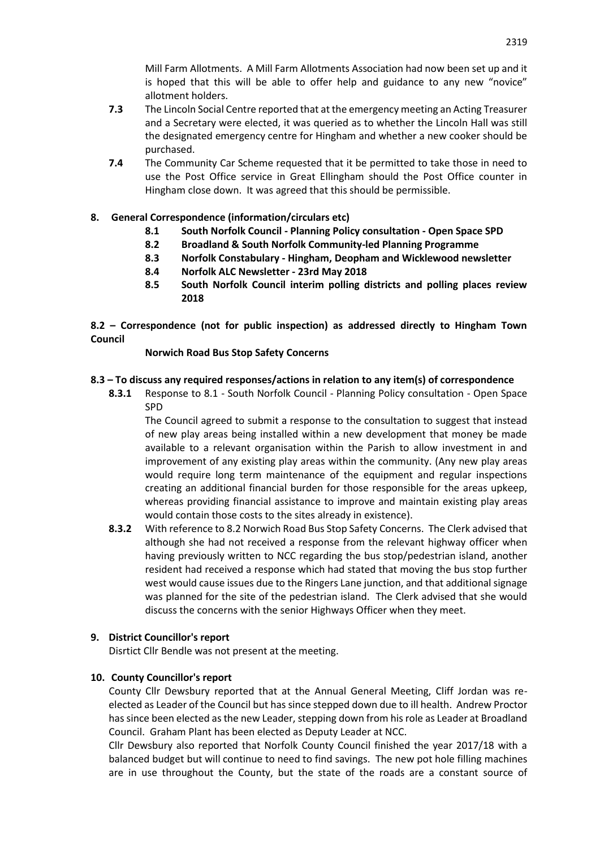Mill Farm Allotments. A Mill Farm Allotments Association had now been set up and it is hoped that this will be able to offer help and guidance to any new "novice" allotment holders.

- **7.3** The Lincoln Social Centre reported that at the emergency meeting an Acting Treasurer and a Secretary were elected, it was queried as to whether the Lincoln Hall was still the designated emergency centre for Hingham and whether a new cooker should be purchased.
- **7.4** The Community Car Scheme requested that it be permitted to take those in need to use the Post Office service in Great Ellingham should the Post Office counter in Hingham close down. It was agreed that this should be permissible.

# **8. General Correspondence (information/circulars etc)**

- **8.1 South Norfolk Council - Planning Policy consultation - Open Space SPD**
- **8.2 Broadland & South Norfolk Community-led Planning Programme**
- **8.3 Norfolk Constabulary - Hingham, Deopham and Wicklewood newsletter**
- **8.4 Norfolk ALC Newsletter - 23rd May 2018**
- **8.5 South Norfolk Council interim polling districts and polling places review 2018**

**8.2 – Correspondence (not for public inspection) as addressed directly to Hingham Town Council**

#### **Norwich Road Bus Stop Safety Concerns**

#### **8.3 – To discuss any required responses/actions in relation to any item(s) of correspondence**

**8.3.1** Response to 8.1 - South Norfolk Council - Planning Policy consultation - Open Space SPD

The Council agreed to submit a response to the consultation to suggest that instead of new play areas being installed within a new development that money be made available to a relevant organisation within the Parish to allow investment in and improvement of any existing play areas within the community. (Any new play areas would require long term maintenance of the equipment and regular inspections creating an additional financial burden for those responsible for the areas upkeep, whereas providing financial assistance to improve and maintain existing play areas would contain those costs to the sites already in existence).

**8.3.2** With reference to 8.2 Norwich Road Bus Stop Safety Concerns.The Clerk advised that although she had not received a response from the relevant highway officer when having previously written to NCC regarding the bus stop/pedestrian island, another resident had received a response which had stated that moving the bus stop further west would cause issues due to the Ringers Lane junction, and that additional signage was planned for the site of the pedestrian island. The Clerk advised that she would discuss the concerns with the senior Highways Officer when they meet.

### **9. District Councillor's report**

Disrtict Cllr Bendle was not present at the meeting.

#### **10. County Councillor's report**

County Cllr Dewsbury reported that at the Annual General Meeting, Cliff Jordan was reelected as Leader of the Council but has since stepped down due to ill health. Andrew Proctor has since been elected as the new Leader, stepping down from his role as Leader at Broadland Council. Graham Plant has been elected as Deputy Leader at NCC.

Cllr Dewsbury also reported that Norfolk County Council finished the year 2017/18 with a balanced budget but will continue to need to find savings. The new pot hole filling machines are in use throughout the County, but the state of the roads are a constant source of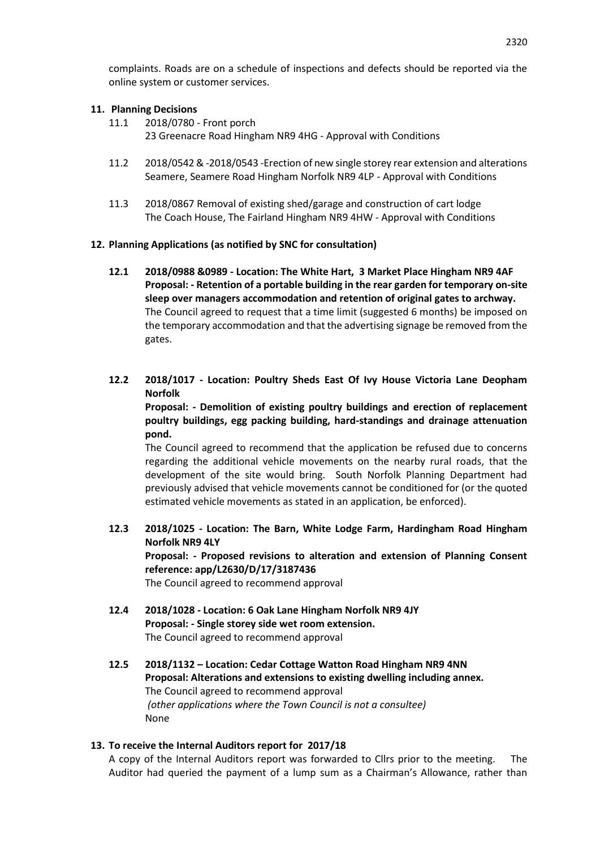complaints. Roads are on a schedule of inspections and defects should be reported via the online system or customer services.

### **11. Planning Decisions**

- 11.1 2018/0780 Front porch
	- 23 Greenacre Road Hingham NR9 4HG Approval with Conditions
- 11.2 2018/0542 & -2018/0543 -Erection of new single storey rear extension and alterations Seamere, Seamere Road Hingham Norfolk NR9 4LP - Approval with Conditions
- 11.3 2018/0867 Removal of existing shed/garage and construction of cart lodge The Coach House, The Fairland Hingham NR9 4HW - Approval with Conditions

## **12. Planning Applications (as notified by SNC for consultation)**

- **12.1 2018/0988 &0989 - Location: The White Hart, 3 Market Place Hingham NR9 4AF Proposal: - Retention of a portable building in the rear garden for temporary on-site sleep over managers accommodation and retention of original gates to archway.** The Council agreed to request that a time limit (suggested 6 months) be imposed on the temporary accommodation and that the advertising signage be removed from the gates.
- **12.2 2018/1017 - Location: Poultry Sheds East Of Ivy House Victoria Lane Deopham Norfolk**

**Proposal: - Demolition of existing poultry buildings and erection of replacement poultry buildings, egg packing building, hard-standings and drainage attenuation pond.**

The Council agreed to recommend that the application be refused due to concerns regarding the additional vehicle movements on the nearby rural roads, that the development of the site would bring. South Norfolk Planning Department had previously advised that vehicle movements cannot be conditioned for (or the quoted estimated vehicle movements as stated in an application, be enforced).

**12.3 2018/1025 - Location: The Barn, White Lodge Farm, Hardingham Road Hingham Norfolk NR9 4LY Proposal: - Proposed revisions to alteration and extension of Planning Consent reference: app/L2630/D/17/3187436**

The Council agreed to recommend approval

- **12.4 2018/1028 - Location: 6 Oak Lane Hingham Norfolk NR9 4JY Proposal: - Single storey side wet room extension.** The Council agreed to recommend approval
- **12.5 2018/1132 – Location: Cedar Cottage Watton Road Hingham NR9 4NN Proposal: Alterations and extensions to existing dwelling including annex.** The Council agreed to recommend approval *(other applications where the Town Council is not a consultee)* None

#### **13. To receive the Internal Auditors report for 2017/18**

A copy of the Internal Auditors report was forwarded to Cllrs prior to the meeting. The Auditor had queried the payment of a lump sum as a Chairman's Allowance, rather than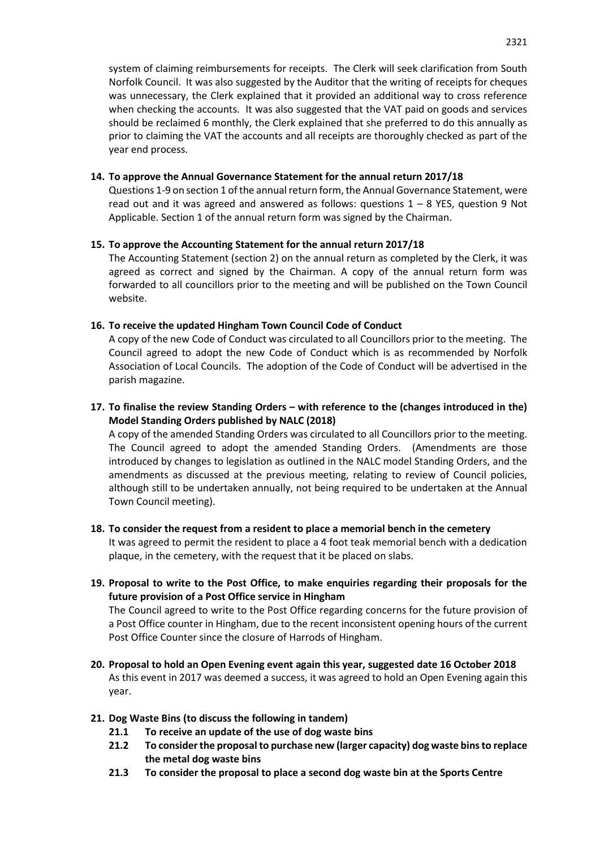system of claiming reimbursements for receipts. The Clerk will seek clarification from South Norfolk Council. It was also suggested by the Auditor that the writing of receipts for cheques was unnecessary, the Clerk explained that it provided an additional way to cross reference when checking the accounts. It was also suggested that the VAT paid on goods and services should be reclaimed 6 monthly, the Clerk explained that she preferred to do this annually as prior to claiming the VAT the accounts and all receipts are thoroughly checked as part of the year end process.

## **14. To approve the Annual Governance Statement for the annual return 2017/18**

Questions 1-9 on section 1 of the annual return form, the Annual Governance Statement, were read out and it was agreed and answered as follows: questions  $1 - 8$  YES, question 9 Not Applicable. Section 1 of the annual return form was signed by the Chairman.

## **15. To approve the Accounting Statement for the annual return 2017/18**

The Accounting Statement (section 2) on the annual return as completed by the Clerk, it was agreed as correct and signed by the Chairman. A copy of the annual return form was forwarded to all councillors prior to the meeting and will be published on the Town Council website.

## **16. To receive the updated Hingham Town Council Code of Conduct**

A copy of the new Code of Conduct was circulated to all Councillors prior to the meeting. The Council agreed to adopt the new Code of Conduct which is as recommended by Norfolk Association of Local Councils. The adoption of the Code of Conduct will be advertised in the parish magazine.

# **17. To finalise the review Standing Orders – with reference to the (changes introduced in the) Model Standing Orders published by NALC (2018)**

A copy of the amended Standing Orders was circulated to all Councillors prior to the meeting. The Council agreed to adopt the amended Standing Orders. (Amendments are those introduced by changes to legislation as outlined in the NALC model Standing Orders, and the amendments as discussed at the previous meeting, relating to review of Council policies, although still to be undertaken annually, not being required to be undertaken at the Annual Town Council meeting).

# **18. To consider the request from a resident to place a memorial bench in the cemetery** It was agreed to permit the resident to place a 4 foot teak memorial bench with a dedication plaque, in the cemetery, with the request that it be placed on slabs.

**19. Proposal to write to the Post Office, to make enquiries regarding their proposals for the future provision of a Post Office service in Hingham**

The Council agreed to write to the Post Office regarding concerns for the future provision of a Post Office counter in Hingham, due to the recent inconsistent opening hours of the current Post Office Counter since the closure of Harrods of Hingham.

- **20. Proposal to hold an Open Evening event again this year, suggested date 16 October 2018** As this event in 2017 was deemed a success, it was agreed to hold an Open Evening again this year.
- **21. Dog Waste Bins (to discuss the following in tandem)**
	- **21.1 To receive an update of the use of dog waste bins**
	- **21.2 To consider the proposal to purchase new (larger capacity) dog waste bins to replace the metal dog waste bins**
	- **21.3 To consider the proposal to place a second dog waste bin at the Sports Centre**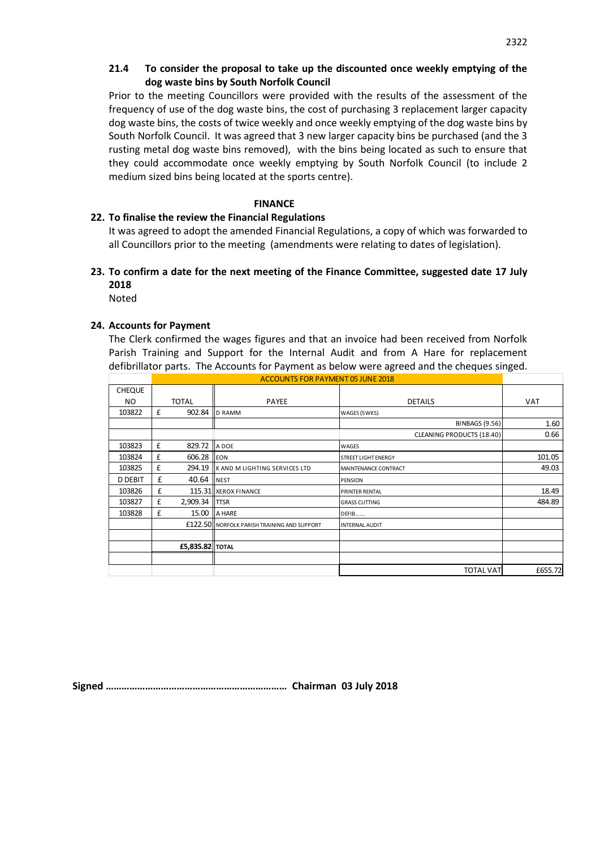## **21.4 To consider the proposal to take up the discounted once weekly emptying of the dog waste bins by South Norfolk Council**

Prior to the meeting Councillors were provided with the results of the assessment of the frequency of use of the dog waste bins, the cost of purchasing 3 replacement larger capacity dog waste bins, the costs of twice weekly and once weekly emptying of the dog waste bins by South Norfolk Council. It was agreed that 3 new larger capacity bins be purchased (and the 3 rusting metal dog waste bins removed), with the bins being located as such to ensure that they could accommodate once weekly emptying by South Norfolk Council (to include 2 medium sized bins being located at the sports centre).

### **FINANCE**

# **22. To finalise the review the Financial Regulations**

It was agreed to adopt the amended Financial Regulations, a copy of which was forwarded to all Councillors prior to the meeting (amendments were relating to dates of legislation).

# **23. To confirm a date for the next meeting of the Finance Committee, suggested date 17 July 2018**

Noted

## **24. Accounts for Payment**

The Clerk confirmed the wages figures and that an invoice had been received from Norfolk Parish Training and Support for the Internal Audit and from A Hare for replacement defibrillator parts. The Accounts for Payment as below were agreed and the cheques singed.

|                |                                          |                        |                                             | Parish Training and Support for the Internal Audit and from A Hare for replacement         |            |
|----------------|------------------------------------------|------------------------|---------------------------------------------|--------------------------------------------------------------------------------------------|------------|
|                |                                          |                        |                                             | defibrillator parts. The Accounts for Payment as below were agreed and the cheques singed. |            |
|                | <b>ACCOUNTS FOR PAYMENT 05 JUNE 2018</b> |                        |                                             |                                                                                            |            |
| <b>CHEQUE</b>  |                                          |                        |                                             |                                                                                            |            |
| NO.            | <b>TOTAL</b>                             |                        | <b>PAYEE</b>                                | <b>DETAILS</b>                                                                             | <b>VAT</b> |
| 103822         | £                                        |                        | 902.84 ID RAMM                              | WAGES (5WKS)                                                                               |            |
|                |                                          |                        |                                             | <b>BINBAGS (9.56)</b>                                                                      | 1.60       |
|                |                                          |                        |                                             | CLEANING PRODUCTS (18.40)                                                                  | 0.66       |
| 103823         | £                                        | 829.72 A DOE           |                                             | WAGES                                                                                      |            |
| 103824         | £                                        | 606.28 EON             |                                             | <b>STREET LIGHT ENERGY</b>                                                                 | 101.05     |
| 103825         | £                                        |                        | 294.19 K AND M LIGHTING SERVICES LTD        | <b>MAINTENANCE CONTRACT</b>                                                                | 49.03      |
| <b>D DEBIT</b> | £                                        | 40.64 <b>INEST</b>     |                                             | <b>PENSION</b>                                                                             |            |
| 103826         | £                                        |                        | 115.31 XEROX FINANCE                        | <b>PRINTER RENTAL</b>                                                                      | 18.49      |
| 103827         | £                                        | 2,909.34   TTSR        |                                             | <b>GRASS CUTTING</b>                                                                       | 484.89     |
| 103828         | £                                        |                        | 15.00 A HARE                                | DEFIB                                                                                      |            |
|                |                                          |                        | £122.50 NORFOLK PARISH TRAINING AND SUPPORT | <b>INTERNAL AUDIT</b>                                                                      |            |
|                |                                          |                        |                                             |                                                                                            |            |
|                |                                          | <b>£5,835.82 TOTAL</b> |                                             |                                                                                            |            |
|                |                                          |                        |                                             |                                                                                            |            |
|                |                                          |                        |                                             | <b>TOTAL VAT</b>                                                                           | £655.72    |

**Signed …………………………………………………………… Chairman 03 July 2018**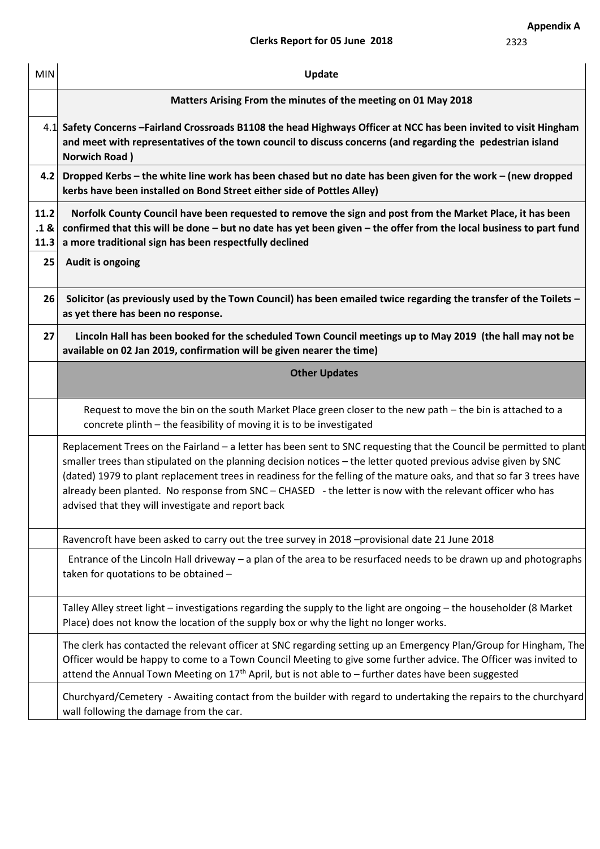2323

| <b>MIN</b>           | <b>Update</b>                                                                                                                                                                                                                                                                                                                                                                                                                                                                                                                      |  |  |  |  |
|----------------------|------------------------------------------------------------------------------------------------------------------------------------------------------------------------------------------------------------------------------------------------------------------------------------------------------------------------------------------------------------------------------------------------------------------------------------------------------------------------------------------------------------------------------------|--|--|--|--|
|                      | Matters Arising From the minutes of the meeting on 01 May 2018                                                                                                                                                                                                                                                                                                                                                                                                                                                                     |  |  |  |  |
|                      | 4.1 Safety Concerns - Fairland Crossroads B1108 the head Highways Officer at NCC has been invited to visit Hingham<br>and meet with representatives of the town council to discuss concerns (and regarding the pedestrian island<br><b>Norwich Road</b> )                                                                                                                                                                                                                                                                          |  |  |  |  |
| 4.2                  | Dropped Kerbs - the white line work has been chased but no date has been given for the work - (new dropped<br>kerbs have been installed on Bond Street either side of Pottles Alley)                                                                                                                                                                                                                                                                                                                                               |  |  |  |  |
| 11.2<br>.1 &<br>11.3 | Norfolk County Council have been requested to remove the sign and post from the Market Place, it has been<br>confirmed that this will be done - but no date has yet been given - the offer from the local business to part fund<br>a more traditional sign has been respectfully declined                                                                                                                                                                                                                                          |  |  |  |  |
| 25                   | Audit is ongoing                                                                                                                                                                                                                                                                                                                                                                                                                                                                                                                   |  |  |  |  |
| 26                   | Solicitor (as previously used by the Town Council) has been emailed twice regarding the transfer of the Toilets -<br>as yet there has been no response.                                                                                                                                                                                                                                                                                                                                                                            |  |  |  |  |
| 27                   | Lincoln Hall has been booked for the scheduled Town Council meetings up to May 2019 (the hall may not be<br>available on 02 Jan 2019, confirmation will be given nearer the time)                                                                                                                                                                                                                                                                                                                                                  |  |  |  |  |
|                      | <b>Other Updates</b>                                                                                                                                                                                                                                                                                                                                                                                                                                                                                                               |  |  |  |  |
|                      | Request to move the bin on the south Market Place green closer to the new path - the bin is attached to a<br>concrete plinth - the feasibility of moving it is to be investigated                                                                                                                                                                                                                                                                                                                                                  |  |  |  |  |
|                      | Replacement Trees on the Fairland - a letter has been sent to SNC requesting that the Council be permitted to plant<br>smaller trees than stipulated on the planning decision notices - the letter quoted previous advise given by SNC<br>(dated) 1979 to plant replacement trees in readiness for the felling of the mature oaks, and that so far 3 trees have<br>already been planted. No response from SNC - CHASED - the letter is now with the relevant officer who has<br>advised that they will investigate and report back |  |  |  |  |
|                      | Ravencroft have been asked to carry out the tree survey in 2018 -provisional date 21 June 2018                                                                                                                                                                                                                                                                                                                                                                                                                                     |  |  |  |  |
|                      | Entrance of the Lincoln Hall driveway - a plan of the area to be resurfaced needs to be drawn up and photographs<br>taken for quotations to be obtained -                                                                                                                                                                                                                                                                                                                                                                          |  |  |  |  |
|                      | Talley Alley street light - investigations regarding the supply to the light are ongoing - the householder (8 Market<br>Place) does not know the location of the supply box or why the light no longer works.                                                                                                                                                                                                                                                                                                                      |  |  |  |  |
|                      | The clerk has contacted the relevant officer at SNC regarding setting up an Emergency Plan/Group for Hingham, The<br>Officer would be happy to come to a Town Council Meeting to give some further advice. The Officer was invited to<br>attend the Annual Town Meeting on $17th$ April, but is not able to - further dates have been suggested                                                                                                                                                                                    |  |  |  |  |
|                      | Churchyard/Cemetery - Awaiting contact from the builder with regard to undertaking the repairs to the churchyard<br>wall following the damage from the car.                                                                                                                                                                                                                                                                                                                                                                        |  |  |  |  |